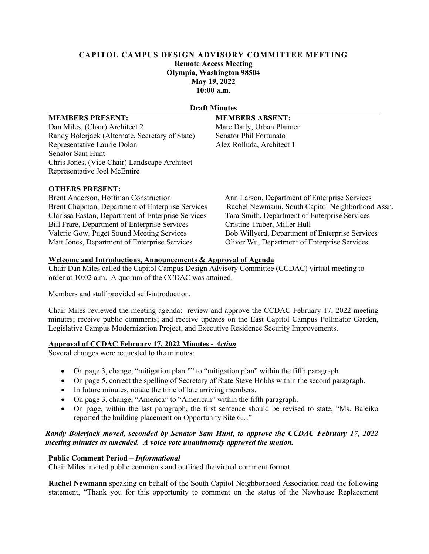# **CAPITOL CAMPUS DESIGN ADVISORY COMMITTEE MEETING Remote Access Meeting Olympia, Washington 98504 May 19, 2022 10:00 a.m.**

#### **Draft Minutes**

## **MEMBERS PRESENT: MEMBERS ABSENT:**

Dan Miles, (Chair) Architect 2 Marc Daily, Urban Planner Randy Bolerjack (Alternate, Secretary of State) Senator Phil Fortunato Representative Laurie Dolan Alex Rolluda, Architect 1 Senator Sam Hunt Chris Jones, (Vice Chair) Landscape Architect Representative Joel McEntire

## **OTHERS PRESENT:**

Brent Anderson, Hoffman Construction Ann Larson, Department of Enterprise Services Clarissa Easton, Department of Enterprise Services Bill Frare, Department of Enterprise Services Cristine Traber, Miller Hull Valerie Gow, Puget Sound Meeting Services Bob Willyerd, Department of Enterprise Services Matt Jones, Department of Enterprise Services Oliver Wu, Department of Enterprise Services

Brent Chapman, Department of Enterprise Services Rachel Newmann, South Capitol Neighborhood Assn.<br>Clarissa Easton, Department of Enterprise Services Tara Smith, Department of Enterprise Services

# **Welcome and Introductions, Announcements & Approval of Agenda**

Chair Dan Miles called the Capitol Campus Design Advisory Committee (CCDAC) virtual meeting to order at 10:02 a.m. A quorum of the CCDAC was attained.

Members and staff provided self-introduction.

Chair Miles reviewed the meeting agenda: review and approve the CCDAC February 17, 2022 meeting minutes; receive public comments; and receive updates on the East Capitol Campus Pollinator Garden, Legislative Campus Modernization Project, and Executive Residence Security Improvements.

# **Approval of CCDAC February 17, 2022 Minutes -** *Action*

Several changes were requested to the minutes:

- On page 3, change, "mitigation plant" to "mitigation plan" within the fifth paragraph.
- On page 5, correct the spelling of Secretary of State Steve Hobbs within the second paragraph.
- In future minutes, notate the time of late arriving members.
- On page 3, change, "America" to "American" within the fifth paragraph.
- On page, within the last paragraph, the first sentence should be revised to state, "Ms. Baleiko reported the building placement on Opportunity Site 6…"

# *Randy Bolerjack moved, seconded by Senator Sam Hunt, to approve the CCDAC February 17, 2022 meeting minutes as amended. A voice vote unanimously approved the motion.*

## **Public Comment Period –** *Informational*

Chair Miles invited public comments and outlined the virtual comment format.

**Rachel Newmann** speaking on behalf of the South Capitol Neighborhood Association read the following statement, "Thank you for this opportunity to comment on the status of the Newhouse Replacement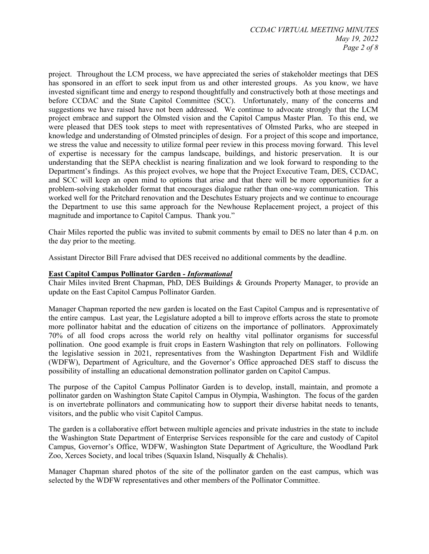project. Throughout the LCM process, we have appreciated the series of stakeholder meetings that DES has sponsored in an effort to seek input from us and other interested groups. As you know, we have invested significant time and energy to respond thoughtfully and constructively both at those meetings and before CCDAC and the State Capitol Committee (SCC). Unfortunately, many of the concerns and suggestions we have raised have not been addressed. We continue to advocate strongly that the LCM project embrace and support the Olmsted vision and the Capitol Campus Master Plan. To this end, we were pleased that DES took steps to meet with representatives of Olmsted Parks, who are steeped in knowledge and understanding of Olmsted principles of design. For a project of this scope and importance, we stress the value and necessity to utilize formal peer review in this process moving forward. This level of expertise is necessary for the campus landscape, buildings, and historic preservation. It is our understanding that the SEPA checklist is nearing finalization and we look forward to responding to the Department's findings. As this project evolves, we hope that the Project Executive Team, DES, CCDAC, and SCC will keep an open mind to options that arise and that there will be more opportunities for a problem-solving stakeholder format that encourages dialogue rather than one-way communication. This worked well for the Pritchard renovation and the Deschutes Estuary projects and we continue to encourage the Department to use this same approach for the Newhouse Replacement project, a project of this magnitude and importance to Capitol Campus. Thank you."

Chair Miles reported the public was invited to submit comments by email to DES no later than 4 p.m. on the day prior to the meeting.

Assistant Director Bill Frare advised that DES received no additional comments by the deadline.

## **East Capitol Campus Pollinator Garden** *- Informational*

Chair Miles invited Brent Chapman, PhD, DES Buildings & Grounds Property Manager, to provide an update on the East Capitol Campus Pollinator Garden.

Manager Chapman reported the new garden is located on the East Capitol Campus and is representative of the entire campus. Last year, the Legislature adopted a bill to improve efforts across the state to promote more pollinator habitat and the education of citizens on the importance of pollinators. Approximately 70% of all food crops across the world rely on healthy vital pollinator organisms for successful pollination. One good example is fruit crops in Eastern Washington that rely on pollinators. Following the legislative session in 2021, representatives from the Washington Department Fish and Wildlife (WDFW), Department of Agriculture, and the Governor's Office approached DES staff to discuss the possibility of installing an educational demonstration pollinator garden on Capitol Campus.

The purpose of the Capitol Campus Pollinator Garden is to develop, install, maintain, and promote a pollinator garden on Washington State Capitol Campus in Olympia, Washington. The focus of the garden is on invertebrate pollinators and communicating how to support their diverse habitat needs to tenants, visitors, and the public who visit Capitol Campus.

The garden is a collaborative effort between multiple agencies and private industries in the state to include the Washington State Department of Enterprise Services responsible for the care and custody of Capitol Campus, Governor's Office, WDFW, Washington State Department of Agriculture, the Woodland Park Zoo, Xerces Society, and local tribes (Squaxin Island, Nisqually & Chehalis).

Manager Chapman shared photos of the site of the pollinator garden on the east campus, which was selected by the WDFW representatives and other members of the Pollinator Committee.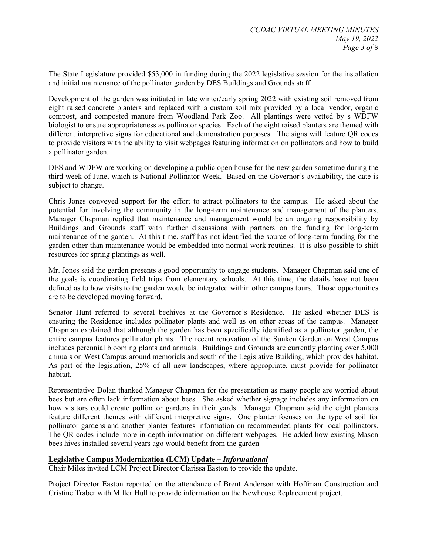The State Legislature provided \$53,000 in funding during the 2022 legislative session for the installation and initial maintenance of the pollinator garden by DES Buildings and Grounds staff.

Development of the garden was initiated in late winter/early spring 2022 with existing soil removed from eight raised concrete planters and replaced with a custom soil mix provided by a local vendor, organic compost, and composted manure from Woodland Park Zoo. All plantings were vetted by s WDFW biologist to ensure appropriateness as pollinator species. Each of the eight raised planters are themed with different interpretive signs for educational and demonstration purposes. The signs will feature QR codes to provide visitors with the ability to visit webpages featuring information on pollinators and how to build a pollinator garden.

DES and WDFW are working on developing a public open house for the new garden sometime during the third week of June, which is National Pollinator Week. Based on the Governor's availability, the date is subject to change.

Chris Jones conveyed support for the effort to attract pollinators to the campus. He asked about the potential for involving the community in the long-term maintenance and management of the planters. Manager Chapman replied that maintenance and management would be an ongoing responsibility by Buildings and Grounds staff with further discussions with partners on the funding for long-term maintenance of the garden. At this time, staff has not identified the source of long-term funding for the garden other than maintenance would be embedded into normal work routines. It is also possible to shift resources for spring plantings as well.

Mr. Jones said the garden presents a good opportunity to engage students. Manager Chapman said one of the goals is coordinating field trips from elementary schools. At this time, the details have not been defined as to how visits to the garden would be integrated within other campus tours. Those opportunities are to be developed moving forward.

Senator Hunt referred to several beehives at the Governor's Residence. He asked whether DES is ensuring the Residence includes pollinator plants and well as on other areas of the campus. Manager Chapman explained that although the garden has been specifically identified as a pollinator garden, the entire campus features pollinator plants. The recent renovation of the Sunken Garden on West Campus includes perennial blooming plants and annuals. Buildings and Grounds are currently planting over 5,000 annuals on West Campus around memorials and south of the Legislative Building, which provides habitat. As part of the legislation, 25% of all new landscapes, where appropriate, must provide for pollinator habitat.

Representative Dolan thanked Manager Chapman for the presentation as many people are worried about bees but are often lack information about bees. She asked whether signage includes any information on how visitors could create pollinator gardens in their yards. Manager Chapman said the eight planters feature different themes with different interpretive signs. One planter focuses on the type of soil for pollinator gardens and another planter features information on recommended plants for local pollinators. The QR codes include more in-depth information on different webpages. He added how existing Mason bees hives installed several years ago would benefit from the garden

## **Legislative Campus Modernization (LCM) Update –** *Informational*

Chair Miles invited LCM Project Director Clarissa Easton to provide the update.

Project Director Easton reported on the attendance of Brent Anderson with Hoffman Construction and Cristine Traber with Miller Hull to provide information on the Newhouse Replacement project.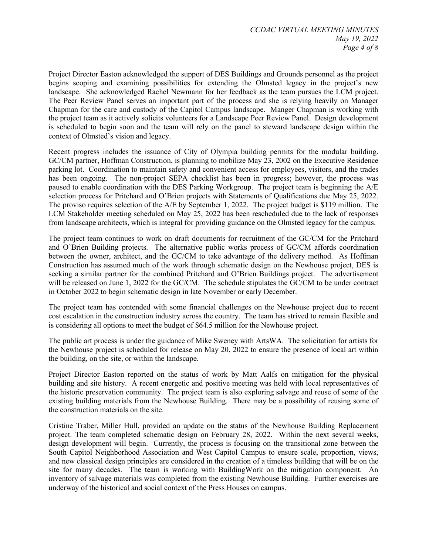Project Director Easton acknowledged the support of DES Buildings and Grounds personnel as the project begins scoping and examining possibilities for extending the Olmsted legacy in the project's new landscape. She acknowledged Rachel Newmann for her feedback as the team pursues the LCM project. The Peer Review Panel serves an important part of the process and she is relying heavily on Manager Chapman for the care and custody of the Capitol Campus landscape. Manger Chapman is working with the project team as it actively solicits volunteers for a Landscape Peer Review Panel. Design development is scheduled to begin soon and the team will rely on the panel to steward landscape design within the context of Olmsted's vision and legacy.

Recent progress includes the issuance of City of Olympia building permits for the modular building. GC/CM partner, Hoffman Construction, is planning to mobilize May 23, 2002 on the Executive Residence parking lot. Coordination to maintain safety and convenient access for employees, visitors, and the trades has been ongoing. The non-project SEPA checklist has been in progress; however, the process was paused to enable coordination with the DES Parking Workgroup. The project team is beginning the A/E selection process for Pritchard and O'Brien projects with Statements of Qualifications due May 25, 2022. The proviso requires selection of the A/E by September 1, 2022. The project budget is \$119 million. The LCM Stakeholder meeting scheduled on May 25, 2022 has been rescheduled due to the lack of responses from landscape architects, which is integral for providing guidance on the Olmsted legacy for the campus.

The project team continues to work on draft documents for recruitment of the GC/CM for the Pritchard and O'Brien Building projects. The alternative public works process of GC/CM affords coordination between the owner, architect, and the GC/CM to take advantage of the delivery method. As Hoffman Construction has assumed much of the work through schematic design on the Newhouse project, DES is seeking a similar partner for the combined Pritchard and O'Brien Buildings project. The advertisement will be released on June 1, 2022 for the GC/CM. The schedule stipulates the GC/CM to be under contract in October 2022 to begin schematic design in late November or early December.

The project team has contended with some financial challenges on the Newhouse project due to recent cost escalation in the construction industry across the country. The team has strived to remain flexible and is considering all options to meet the budget of \$64.5 million for the Newhouse project.

The public art process is under the guidance of Mike Sweney with ArtsWA. The solicitation for artists for the Newhouse project is scheduled for release on May 20, 2022 to ensure the presence of local art within the building, on the site, or within the landscape.

Project Director Easton reported on the status of work by Matt Aalfs on mitigation for the physical building and site history. A recent energetic and positive meeting was held with local representatives of the historic preservation community. The project team is also exploring salvage and reuse of some of the existing building materials from the Newhouse Building. There may be a possibility of reusing some of the construction materials on the site.

Cristine Traber, Miller Hull, provided an update on the status of the Newhouse Building Replacement project. The team completed schematic design on February 28, 2022. Within the next several weeks, design development will begin. Currently, the process is focusing on the transitional zone between the South Capitol Neighborhood Association and West Capitol Campus to ensure scale, proportion, views, and new classical design principles are considered in the creation of a timeless building that will be on the site for many decades. The team is working with BuildingWork on the mitigation component. An inventory of salvage materials was completed from the existing Newhouse Building. Further exercises are underway of the historical and social context of the Press Houses on campus.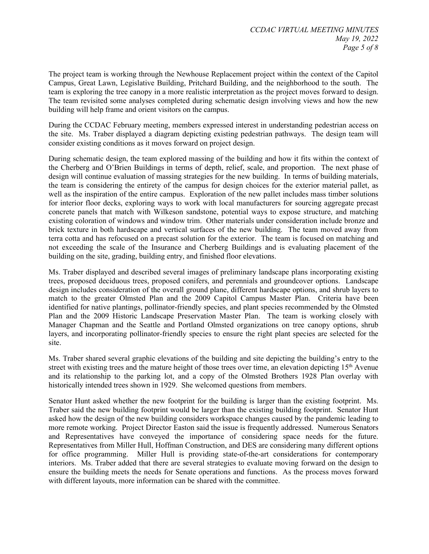The project team is working through the Newhouse Replacement project within the context of the Capitol Campus, Great Lawn, Legislative Building, Pritchard Building, and the neighborhood to the south. The team is exploring the tree canopy in a more realistic interpretation as the project moves forward to design. The team revisited some analyses completed during schematic design involving views and how the new building will help frame and orient visitors on the campus.

During the CCDAC February meeting, members expressed interest in understanding pedestrian access on the site. Ms. Traber displayed a diagram depicting existing pedestrian pathways. The design team will consider existing conditions as it moves forward on project design.

During schematic design, the team explored massing of the building and how it fits within the context of the Cherberg and O'Brien Buildings in terms of depth, relief, scale, and proportion. The next phase of design will continue evaluation of massing strategies for the new building. In terms of building materials, the team is considering the entirety of the campus for design choices for the exterior material pallet, as well as the inspiration of the entire campus. Exploration of the new pallet includes mass timber solutions for interior floor decks, exploring ways to work with local manufacturers for sourcing aggregate precast concrete panels that match with Wilkeson sandstone, potential ways to expose structure, and matching existing coloration of windows and window trim. Other materials under consideration include bronze and brick texture in both hardscape and vertical surfaces of the new building. The team moved away from terra cotta and has refocused on a precast solution for the exterior. The team is focused on matching and not exceeding the scale of the Insurance and Cherberg Buildings and is evaluating placement of the building on the site, grading, building entry, and finished floor elevations.

Ms. Traber displayed and described several images of preliminary landscape plans incorporating existing trees, proposed deciduous trees, proposed conifers, and perennials and groundcover options. Landscape design includes consideration of the overall ground plane, different hardscape options, and shrub layers to match to the greater Olmsted Plan and the 2009 Capitol Campus Master Plan. Criteria have been identified for native plantings, pollinator-friendly species, and plant species recommended by the Olmsted Plan and the 2009 Historic Landscape Preservation Master Plan. The team is working closely with Manager Chapman and the Seattle and Portland Olmsted organizations on tree canopy options, shrub layers, and incorporating pollinator-friendly species to ensure the right plant species are selected for the site.

Ms. Traber shared several graphic elevations of the building and site depicting the building's entry to the street with existing trees and the mature height of those trees over time, an elevation depicting 15<sup>th</sup> Avenue and its relationship to the parking lot, and a copy of the Olmsted Brothers 1928 Plan overlay with historically intended trees shown in 1929. She welcomed questions from members.

Senator Hunt asked whether the new footprint for the building is larger than the existing footprint. Ms. Traber said the new building footprint would be larger than the existing building footprint. Senator Hunt asked how the design of the new building considers workspace changes caused by the pandemic leading to more remote working. Project Director Easton said the issue is frequently addressed. Numerous Senators and Representatives have conveyed the importance of considering space needs for the future. Representatives from Miller Hull, Hoffman Construction, and DES are considering many different options for office programming. Miller Hull is providing state-of-the-art considerations for contemporary interiors. Ms. Traber added that there are several strategies to evaluate moving forward on the design to ensure the building meets the needs for Senate operations and functions. As the process moves forward with different layouts, more information can be shared with the committee.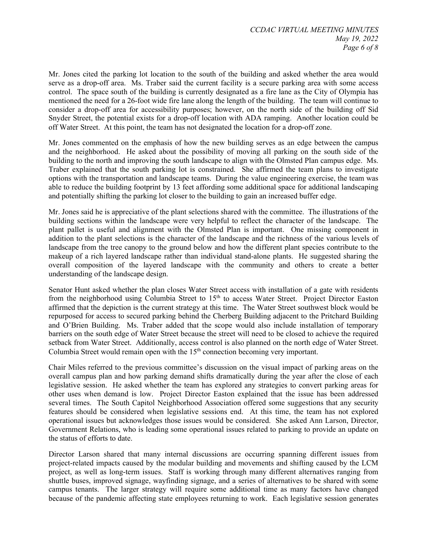Mr. Jones cited the parking lot location to the south of the building and asked whether the area would serve as a drop-off area. Ms. Traber said the current facility is a secure parking area with some access control. The space south of the building is currently designated as a fire lane as the City of Olympia has mentioned the need for a 26-foot wide fire lane along the length of the building. The team will continue to consider a drop-off area for accessibility purposes; however, on the north side of the building off Sid Snyder Street, the potential exists for a drop-off location with ADA ramping. Another location could be off Water Street. At this point, the team has not designated the location for a drop-off zone.

Mr. Jones commented on the emphasis of how the new building serves as an edge between the campus and the neighborhood. He asked about the possibility of moving all parking on the south side of the building to the north and improving the south landscape to align with the Olmsted Plan campus edge. Ms. Traber explained that the south parking lot is constrained. She affirmed the team plans to investigate options with the transportation and landscape teams. During the value engineering exercise, the team was able to reduce the building footprint by 13 feet affording some additional space for additional landscaping and potentially shifting the parking lot closer to the building to gain an increased buffer edge.

Mr. Jones said he is appreciative of the plant selections shared with the committee. The illustrations of the building sections within the landscape were very helpful to reflect the character of the landscape. The plant pallet is useful and alignment with the Olmsted Plan is important. One missing component in addition to the plant selections is the character of the landscape and the richness of the various levels of landscape from the tree canopy to the ground below and how the different plant species contribute to the makeup of a rich layered landscape rather than individual stand-alone plants. He suggested sharing the overall composition of the layered landscape with the community and others to create a better understanding of the landscape design.

Senator Hunt asked whether the plan closes Water Street access with installation of a gate with residents from the neighborhood using Columbia Street to 15<sup>th</sup> to access Water Street. Project Director Easton affirmed that the depiction is the current strategy at this time. The Water Street southwest block would be repurposed for access to secured parking behind the Cherberg Building adjacent to the Pritchard Building and O'Brien Building. Ms. Traber added that the scope would also include installation of temporary barriers on the south edge of Water Street because the street will need to be closed to achieve the required setback from Water Street. Additionally, access control is also planned on the north edge of Water Street. Columbia Street would remain open with the  $15<sup>th</sup>$  connection becoming very important.

Chair Miles referred to the previous committee's discussion on the visual impact of parking areas on the overall campus plan and how parking demand shifts dramatically during the year after the close of each legislative session. He asked whether the team has explored any strategies to convert parking areas for other uses when demand is low. Project Director Easton explained that the issue has been addressed several times. The South Capitol Neighborhood Association offered some suggestions that any security features should be considered when legislative sessions end. At this time, the team has not explored operational issues but acknowledges those issues would be considered. She asked Ann Larson, Director, Government Relations, who is leading some operational issues related to parking to provide an update on the status of efforts to date.

Director Larson shared that many internal discussions are occurring spanning different issues from project-related impacts caused by the modular building and movements and shifting caused by the LCM project, as well as long-term issues. Staff is working through many different alternatives ranging from shuttle buses, improved signage, wayfinding signage, and a series of alternatives to be shared with some campus tenants. The larger strategy will require some additional time as many factors have changed because of the pandemic affecting state employees returning to work. Each legislative session generates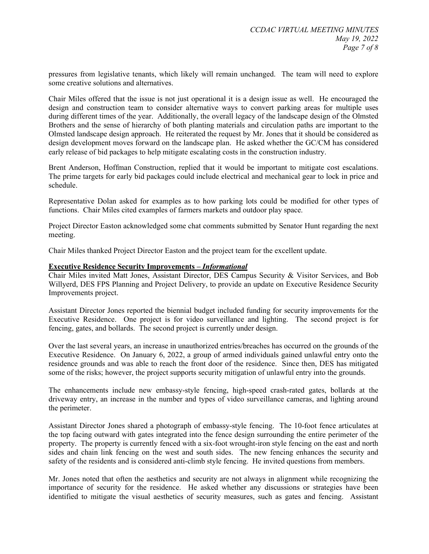pressures from legislative tenants, which likely will remain unchanged. The team will need to explore some creative solutions and alternatives.

Chair Miles offered that the issue is not just operational it is a design issue as well. He encouraged the design and construction team to consider alternative ways to convert parking areas for multiple uses during different times of the year. Additionally, the overall legacy of the landscape design of the Olmsted Brothers and the sense of hierarchy of both planting materials and circulation paths are important to the Olmsted landscape design approach. He reiterated the request by Mr. Jones that it should be considered as design development moves forward on the landscape plan. He asked whether the GC/CM has considered early release of bid packages to help mitigate escalating costs in the construction industry.

Brent Anderson, Hoffman Construction, replied that it would be important to mitigate cost escalations. The prime targets for early bid packages could include electrical and mechanical gear to lock in price and schedule.

Representative Dolan asked for examples as to how parking lots could be modified for other types of functions. Chair Miles cited examples of farmers markets and outdoor play space.

Project Director Easton acknowledged some chat comments submitted by Senator Hunt regarding the next meeting.

Chair Miles thanked Project Director Easton and the project team for the excellent update.

#### **Executive Residence Security Improvements –** *Informational*

Chair Miles invited Matt Jones, Assistant Director, DES Campus Security & Visitor Services, and Bob Willyerd, DES FPS Planning and Project Delivery, to provide an update on Executive Residence Security Improvements project.

Assistant Director Jones reported the biennial budget included funding for security improvements for the Executive Residence. One project is for video surveillance and lighting. The second project is for fencing, gates, and bollards. The second project is currently under design.

Over the last several years, an increase in unauthorized entries/breaches has occurred on the grounds of the Executive Residence. On January 6, 2022, a group of armed individuals gained unlawful entry onto the residence grounds and was able to reach the front door of the residence. Since then, DES has mitigated some of the risks; however, the project supports security mitigation of unlawful entry into the grounds.

The enhancements include new embassy-style fencing, high-speed crash-rated gates, bollards at the driveway entry, an increase in the number and types of video surveillance cameras, and lighting around the perimeter.

Assistant Director Jones shared a photograph of embassy-style fencing. The 10-foot fence articulates at the top facing outward with gates integrated into the fence design surrounding the entire perimeter of the property. The property is currently fenced with a six-foot wrought-iron style fencing on the east and north sides and chain link fencing on the west and south sides. The new fencing enhances the security and safety of the residents and is considered anti-climb style fencing. He invited questions from members.

Mr. Jones noted that often the aesthetics and security are not always in alignment while recognizing the importance of security for the residence. He asked whether any discussions or strategies have been identified to mitigate the visual aesthetics of security measures, such as gates and fencing. Assistant